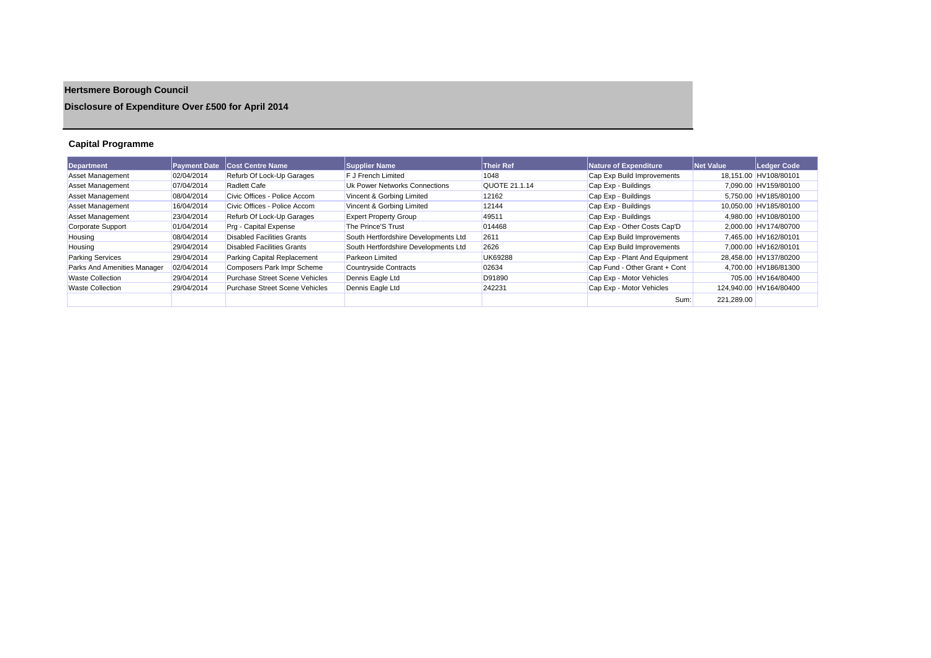# **Hertsmere Borough Council**

## **Disclosure of Expenditure Over £500 for April 2014**

## **Capital Programme**

| <b>Department</b>           | <b>Payment Date</b> | <b>Cost Centre Name</b>               | <b>Supplier Name</b>                 | <b>Their Ref</b> | Nature of Expenditure         | Net Value  | Ledger Code            |
|-----------------------------|---------------------|---------------------------------------|--------------------------------------|------------------|-------------------------------|------------|------------------------|
| <b>Asset Management</b>     | 02/04/2014          | Refurb Of Lock-Up Garages             | F J French Limited                   | 1048             | Cap Exp Build Improvements    |            | 18,151.00 HV108/80101  |
| <b>Asset Management</b>     | 07/04/2014          | <b>Radlett Cafe</b>                   | Uk Power Networks Connections        | QUOTE 21.1.14    | Cap Exp - Buildings           |            | 7.090.00 HV159/80100   |
| <b>Asset Management</b>     | 08/04/2014          | Civic Offices - Police Accom          | Vincent & Gorbing Limited            | 12162            | Cap Exp - Buildings           |            | 5.750.00 HV185/80100   |
| <b>Asset Management</b>     | 16/04/2014          | Civic Offices - Police Accom          | Vincent & Gorbing Limited            | 12144            | Cap Exp - Buildings           |            | 10.050.00 HV185/80100  |
| <b>Asset Management</b>     | 23/04/2014          | Refurb Of Lock-Up Garages             | <b>Expert Property Group</b>         | 49511            | Cap Exp - Buildings           |            | 4.980.00 HV108/80100   |
| <b>Corporate Support</b>    | 01/04/2014          | Prg - Capital Expense                 | The Prince'S Trust                   | 014468           | Cap Exp - Other Costs Cap'D   |            | 2.000.00 HV174/80700   |
| Housing                     | 08/04/2014          | <b>Disabled Facilities Grants</b>     | South Hertfordshire Developments Ltd | 2611             | Cap Exp Build Improvements    |            | 7.465.00 HV162/80101   |
| Housing                     | 29/04/2014          | <b>Disabled Facilities Grants</b>     | South Hertfordshire Developments Ltd | 2626             | Cap Exp Build Improvements    |            | 7.000.00 HV162/80101   |
| <b>Parking Services</b>     | 29/04/2014          | Parking Capital Replacement           | <b>Parkeon Limited</b>               | <b>UK69288</b>   | Cap Exp - Plant And Equipment |            | 28.458.00 HV137/80200  |
| Parks And Amenities Manager | 02/04/2014          | Composers Park Impr Scheme            | Countryside Contracts                | 02634            | Cap Fund - Other Grant + Cont |            | 4,700.00 HV186/81300   |
| <b>Waste Collection</b>     | 29/04/2014          | <b>Purchase Street Scene Vehicles</b> | Dennis Eagle Ltd                     | D91890           | Cap Exp - Motor Vehicles      |            | 705.00 HV164/80400     |
| <b>Waste Collection</b>     | 29/04/2014          | <b>Purchase Street Scene Vehicles</b> | Dennis Eagle Ltd                     | 242231           | Cap Exp - Motor Vehicles      |            | 124.940.00 HV164/80400 |
|                             |                     |                                       |                                      |                  | Sum:                          | 221,289.00 |                        |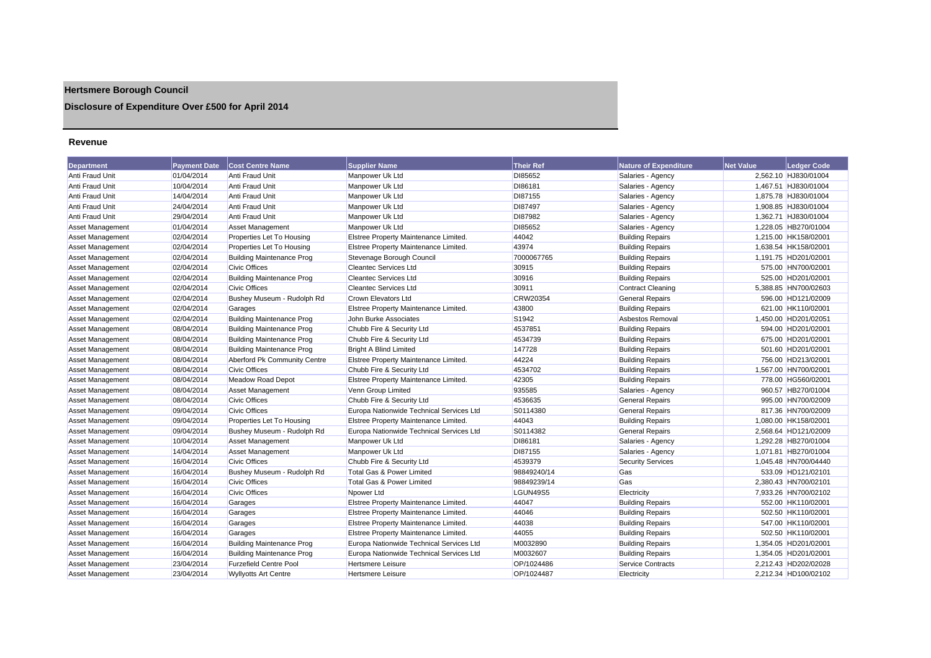## **Hertsmere Borough Council**

## **Disclosure of Expenditure Over £500 for April 2014**

#### **Revenue**

| <b>Department</b>       | <b>Payment Date</b> | <b>Cost Centre Name</b>          | <b>Supplier Name</b>                     | <b>Their Ref</b> | <b>Nature of Expenditure</b> | <b>Net Value</b> | <b>Ledger Code</b>   |
|-------------------------|---------------------|----------------------------------|------------------------------------------|------------------|------------------------------|------------------|----------------------|
| Anti Fraud Unit         | 01/04/2014          | Anti Fraud Unit                  | Manpower Uk Ltd                          | DI85652          | Salaries - Agency            |                  | 2,562.10 HJ830/01004 |
| Anti Fraud Unit         | 10/04/2014          | Anti Fraud Unit                  | Manpower Uk Ltd                          | DI86181          | Salaries - Agency            |                  | 1,467.51 HJ830/01004 |
| Anti Fraud Unit         | 14/04/2014          | Anti Fraud Unit                  | Manpower Uk Ltd                          | DI87155          | Salaries - Agency            |                  | 1,875.78 HJ830/01004 |
| Anti Fraud Unit         | 24/04/2014          | Anti Fraud Unit                  | Manpower Uk Ltd                          | DI87497          | Salaries - Agency            |                  | 1,908.85 HJ830/01004 |
| Anti Fraud Unit         | 29/04/2014          | Anti Fraud Unit                  | Manpower Uk Ltd                          | DI87982          | Salaries - Agency            |                  | 1,362.71 HJ830/01004 |
| <b>Asset Management</b> | 01/04/2014          | <b>Asset Management</b>          | Manpower Uk Ltd                          | DI85652          | Salaries - Agency            |                  | 1,228.05 HB270/01004 |
| <b>Asset Management</b> | 02/04/2014          | Properties Let To Housing        | Elstree Property Maintenance Limited.    | 44042            | <b>Building Repairs</b>      |                  | 1,215.00 HK158/02001 |
| <b>Asset Management</b> | 02/04/2014          | Properties Let To Housing        | Elstree Property Maintenance Limited.    | 43974            | <b>Building Repairs</b>      |                  | 1,638.54 HK158/02001 |
| <b>Asset Management</b> | 02/04/2014          | <b>Building Maintenance Prog</b> | Stevenage Borough Council                | 7000067765       | <b>Building Repairs</b>      |                  | 1,191.75 HD201/02001 |
| Asset Management        | 02/04/2014          | <b>Civic Offices</b>             | <b>Cleantec Services Ltd</b>             | 30915            | <b>Building Repairs</b>      |                  | 575.00 HN700/02001   |
| <b>Asset Management</b> | 02/04/2014          | <b>Building Maintenance Prog</b> | <b>Cleantec Services Ltd</b>             | 30916            | <b>Building Repairs</b>      |                  | 525.00 HD201/02001   |
| <b>Asset Management</b> | 02/04/2014          | <b>Civic Offices</b>             | <b>Cleantec Services Ltd</b>             | 30911            | <b>Contract Cleaning</b>     |                  | 5,388.85 HN700/02603 |
| Asset Management        | 02/04/2014          | Bushey Museum - Rudolph Rd       | <b>Crown Elevators Ltd</b>               | <b>CRW20354</b>  | <b>General Repairs</b>       |                  | 596.00 HD121/02009   |
| <b>Asset Management</b> | 02/04/2014          | Garages                          | Elstree Property Maintenance Limited.    | 43800            | <b>Building Repairs</b>      |                  | 621.00 HK110/02001   |
| <b>Asset Management</b> | 02/04/2014          | <b>Building Maintenance Prog</b> | John Burke Associates                    | S1942            | Asbestos Removal             |                  | 1,450.00 HD201/02051 |
| Asset Management        | 08/04/2014          | <b>Building Maintenance Prog</b> | Chubb Fire & Security Ltd                | 4537851          | <b>Building Repairs</b>      |                  | 594.00 HD201/02001   |
| <b>Asset Management</b> | 08/04/2014          | <b>Building Maintenance Prog</b> | Chubb Fire & Security Ltd                | 4534739          | <b>Building Repairs</b>      |                  | 675.00 HD201/02001   |
| <b>Asset Management</b> | 08/04/2014          | <b>Building Maintenance Prog</b> | <b>Bright A Blind Limited</b>            | 147728           | <b>Building Repairs</b>      |                  | 501.60 HD201/02001   |
| <b>Asset Management</b> | 08/04/2014          | Aberford Pk Community Centre     | Elstree Property Maintenance Limited.    | 44224            | <b>Building Repairs</b>      |                  | 756.00 HD213/02001   |
| Asset Management        | 08/04/2014          | <b>Civic Offices</b>             | Chubb Fire & Security Ltd                | 4534702          | <b>Building Repairs</b>      |                  | 1,567.00 HN700/02001 |
| Asset Management        | 08/04/2014          | <b>Meadow Road Depot</b>         | Elstree Property Maintenance Limited.    | 42305            | <b>Building Repairs</b>      |                  | 778.00 HG560/02001   |
| <b>Asset Management</b> | 08/04/2014          | <b>Asset Management</b>          | Venn Group Limited                       | 935585           | Salaries - Agency            |                  | 960.57 HB270/01004   |
| <b>Asset Management</b> | 08/04/2014          | <b>Civic Offices</b>             | Chubb Fire & Security Ltd                | 4536635          | <b>General Repairs</b>       |                  | 995.00 HN700/02009   |
| <b>Asset Management</b> | 09/04/2014          | <b>Civic Offices</b>             | Europa Nationwide Technical Services Ltd | S0114380         | <b>General Repairs</b>       |                  | 817.36 HN700/02009   |
| <b>Asset Management</b> | 09/04/2014          | Properties Let To Housing        | Elstree Property Maintenance Limited.    | 44043            | <b>Building Repairs</b>      |                  | 1,080.00 HK158/02001 |
| <b>Asset Management</b> | 09/04/2014          | Bushey Museum - Rudolph Rd       | Europa Nationwide Technical Services Ltd | S0114382         | <b>General Repairs</b>       |                  | 2,568.64 HD121/02009 |
| <b>Asset Management</b> | 10/04/2014          | <b>Asset Management</b>          | Manpower Uk Ltd                          | DI86181          | Salaries - Agency            |                  | 1,292.28 HB270/01004 |
| <b>Asset Management</b> | 14/04/2014          | <b>Asset Management</b>          | Manpower Uk Ltd                          | DI87155          | Salaries - Agency            |                  | 1.071.81 HB270/01004 |
| <b>Asset Management</b> | 16/04/2014          | <b>Civic Offices</b>             | Chubb Fire & Security Ltd                | 4539379          | <b>Security Services</b>     |                  | 1,045.48 HN700/04440 |
| <b>Asset Management</b> | 16/04/2014          | Bushey Museum - Rudolph Rd       | Total Gas & Power Limited                | 98849240/14      | Gas                          |                  | 533.09 HD121/02101   |
| Asset Management        | 16/04/2014          | <b>Civic Offices</b>             | Total Gas & Power Limited                | 98849239/14      | Gas                          |                  | 2,380.43 HN700/02101 |
| Asset Management        | 16/04/2014          | <b>Civic Offices</b>             | Npower Ltd                               | LGUN49S5         | Electricity                  |                  | 7.933.26 HN700/02102 |
| <b>Asset Management</b> | 16/04/2014          | Garages                          | Elstree Property Maintenance Limited.    | 44047            | <b>Building Repairs</b>      |                  | 552.00 HK110/02001   |
| <b>Asset Management</b> | 16/04/2014          | Garages                          | Elstree Property Maintenance Limited.    | 44046            | <b>Building Repairs</b>      |                  | 502.50 HK110/02001   |
| <b>Asset Management</b> | 16/04/2014          | Garages                          | Elstree Property Maintenance Limited.    | 44038            | <b>Building Repairs</b>      |                  | 547.00 HK110/02001   |
| Asset Management        | 16/04/2014          | Garages                          | Elstree Property Maintenance Limited.    | 44055            | <b>Building Repairs</b>      |                  | 502.50 HK110/02001   |
| <b>Asset Management</b> | 16/04/2014          | <b>Building Maintenance Prog</b> | Europa Nationwide Technical Services Ltd | M0032890         | <b>Building Repairs</b>      |                  | 1,354.05 HD201/02001 |
| <b>Asset Management</b> | 16/04/2014          | <b>Building Maintenance Prog</b> | Europa Nationwide Technical Services Ltd | M0032607         | <b>Building Repairs</b>      |                  | 1,354.05 HD201/02001 |
| <b>Asset Management</b> | 23/04/2014          | <b>Furzefield Centre Pool</b>    | <b>Hertsmere Leisure</b>                 | OP/1024486       | <b>Service Contracts</b>     |                  | 2,212.43 HD202/02028 |
| <b>Asset Management</b> | 23/04/2014          | <b>Wyllvotts Art Centre</b>      | <b>Hertsmere Leisure</b>                 | OP/1024487       | Electricity                  |                  | 2.212.34 HD100/02102 |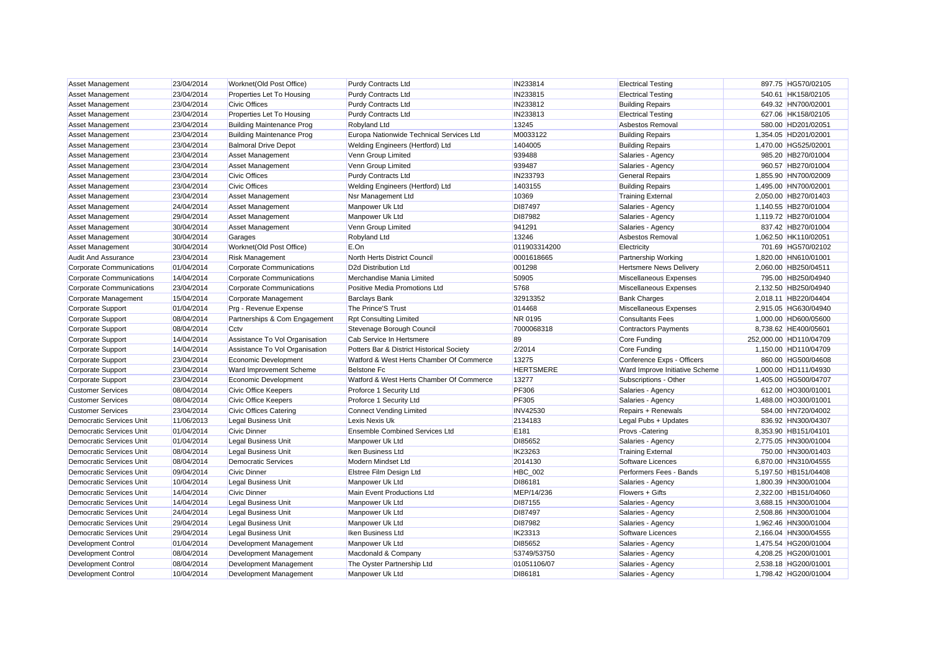| Asset Management                | 23/04/2014 | Worknet(Old Post Office)         | <b>Purdy Contracts Ltd</b>                | IN233814         | <b>Electrical Testing</b>      | 897.75 HG570/02105     |
|---------------------------------|------------|----------------------------------|-------------------------------------------|------------------|--------------------------------|------------------------|
| <b>Asset Management</b>         | 23/04/2014 | Properties Let To Housing        | <b>Purdy Contracts Ltd</b>                | IN233815         | <b>Electrical Testing</b>      | 540.61 HK158/02105     |
| <b>Asset Management</b>         | 23/04/2014 | <b>Civic Offices</b>             | <b>Purdy Contracts Ltd</b>                | IN233812         | <b>Building Repairs</b>        | 649.32 HN700/02001     |
| <b>Asset Management</b>         | 23/04/2014 | Properties Let To Housing        | <b>Purdy Contracts Ltd</b>                | IN233813         | <b>Electrical Testing</b>      | 627.06 HK158/02105     |
| <b>Asset Management</b>         | 23/04/2014 | <b>Building Maintenance Prog</b> | Robyland Ltd                              | 13245            | Asbestos Removal               | 580.00 HD201/02051     |
| Asset Management                | 23/04/2014 | <b>Building Maintenance Prog</b> | Europa Nationwide Technical Services Ltd  | M0033122         | <b>Building Repairs</b>        | 1,354.05 HD201/02001   |
| Asset Management                | 23/04/2014 | <b>Balmoral Drive Depot</b>      | Welding Engineers (Hertford) Ltd          | 1404005          | <b>Building Repairs</b>        | 1.470.00 HG525/02001   |
| Asset Management                | 23/04/2014 | Asset Management                 | Venn Group Limited                        | 939488           | Salaries - Agency              | 985.20 HB270/01004     |
| <b>Asset Management</b>         | 23/04/2014 | Asset Management                 | Venn Group Limited                        | 939487           | Salaries - Agency              | 960.57 HB270/01004     |
| <b>Asset Management</b>         | 23/04/2014 | <b>Civic Offices</b>             | <b>Purdy Contracts Ltd</b>                | IN233793         | <b>General Repairs</b>         | 1,855.90 HN700/02009   |
| Asset Management                | 23/04/2014 | <b>Civic Offices</b>             | Welding Engineers (Hertford) Ltd          | 1403155          | <b>Building Repairs</b>        | 1,495.00 HN700/02001   |
| Asset Management                | 23/04/2014 | <b>Asset Management</b>          | Nsr Management Ltd                        | 10369            | <b>Training External</b>       | 2,050.00 HB270/01403   |
| <b>Asset Management</b>         | 24/04/2014 | <b>Asset Management</b>          | Manpower Uk Ltd                           | DI87497          | Salaries - Agency              | 1,140.55 HB270/01004   |
| <b>Asset Management</b>         | 29/04/2014 | <b>Asset Management</b>          | Manpower Uk Ltd                           | DI87982          | Salaries - Agency              | 1,119.72 HB270/01004   |
| Asset Management                | 30/04/2014 | <b>Asset Management</b>          | Venn Group Limited                        | 941291           | Salaries - Agency              | 837.42 HB270/01004     |
| <b>Asset Management</b>         | 30/04/2014 | Garages                          | Robyland Ltd                              | 13246            | Asbestos Removal               | 1,062.50 HK110/02051   |
| <b>Asset Management</b>         | 30/04/2014 | Worknet(Old Post Office)         | E.On                                      | 011903314200     | Electricity                    | 701.69 HG570/02102     |
| <b>Audit And Assurance</b>      | 23/04/2014 | <b>Risk Management</b>           | North Herts District Council              | 0001618665       | Partnership Working            | 1.820.00 HN610/01001   |
| <b>Corporate Communications</b> | 01/04/2014 | <b>Corporate Communications</b>  | D2d Distribution Ltd                      | 001298           | <b>Hertsmere News Delivery</b> | 2,060.00 HB250/04511   |
| Corporate Communications        | 14/04/2014 | Corporate Communications         | Merchandise Mania Limited                 | 50905            | Miscellaneous Expenses         | 795.00 HB250/04940     |
| Corporate Communications        | 23/04/2014 | <b>Corporate Communications</b>  | Positive Media Promotions Ltd             | 5768             | Miscellaneous Expenses         | 2,132.50 HB250/04940   |
| Corporate Management            | 15/04/2014 | Corporate Management             | <b>Barclays Bank</b>                      | 32913352         | <b>Bank Charges</b>            | 2.018.11 HB220/04404   |
| Corporate Support               | 01/04/2014 | Prg - Revenue Expense            | The Prince'S Trust                        | 014468           | Miscellaneous Expenses         | 2,915.05 HG630/04940   |
| Corporate Support               | 08/04/2014 | Partnerships & Com Engagement    | <b>Rpt Consulting Limited</b>             | NR 0195          | <b>Consultants Fees</b>        | 1,000.00 HD600/05600   |
| Corporate Support               | 08/04/2014 | Cctv                             | Stevenage Borough Council                 | 7000068318       | <b>Contractors Payments</b>    | 8,738.62 HE400/05601   |
| Corporate Support               | 14/04/2014 | Assistance To Vol Organisation   | Cab Service In Hertsmere                  | 89               | Core Funding                   | 252,000.00 HD110/04709 |
| Corporate Support               | 14/04/2014 | Assistance To Vol Organisation   | Potters Bar & District Historical Society | 2/2014           | Core Funding                   | 1,150.00 HD110/04709   |
| <b>Corporate Support</b>        | 23/04/2014 | <b>Economic Development</b>      | Watford & West Herts Chamber Of Commerce  | 13275            | Conference Exps - Officers     | 860.00 HG500/04608     |
| <b>Corporate Support</b>        | 23/04/2014 | Ward Improvement Scheme          | <b>Belstone Fc</b>                        | <b>HERTSMERE</b> | Ward Improve Initiative Scheme | 1,000.00 HD111/04930   |
| <b>Corporate Support</b>        | 23/04/2014 | <b>Economic Development</b>      | Watford & West Herts Chamber Of Commerce  | 13277            | Subscriptions - Other          | 1,405.00 HG500/04707   |
| <b>Customer Services</b>        | 08/04/2014 | Civic Office Keepers             | Proforce 1 Security Ltd                   | <b>PF306</b>     | Salaries - Agency              | 612.00 HO300/01001     |
| <b>Customer Services</b>        | 08/04/2014 | <b>Civic Office Keepers</b>      | Proforce 1 Security Ltd                   | <b>PF305</b>     | Salaries - Agency              | 1,488.00 HO300/01001   |
| <b>Customer Services</b>        | 23/04/2014 | <b>Civic Offices Catering</b>    | <b>Connect Vending Limited</b>            | <b>INV42530</b>  | Repairs + Renewals             | 584.00 HN720/04002     |
| <b>Democratic Services Unit</b> | 11/06/2013 | <b>Legal Business Unit</b>       | Lexis Nexis Uk                            | 2134183          | Legal Pubs + Updates           | 836.92 HN300/04307     |
| Democratic Services Unit        | 01/04/2014 | <b>Civic Dinner</b>              | <b>Ensemble Combined Services Ltd</b>     | E181             | Provs -Catering                | 8,353.90 HB151/04101   |
| Democratic Services Unit        | 01/04/2014 | Legal Business Unit              | Manpower Uk Ltd                           | DI85652          | Salaries - Agency              | 2,775.05 HN300/01004   |
| Democratic Services Unit        | 08/04/2014 | Legal Business Unit              | Iken Business Ltd                         | IK23263          | <b>Training External</b>       | 750.00 HN300/01403     |
| Democratic Services Unit        | 08/04/2014 | <b>Democratic Services</b>       | Modern Mindset Ltd                        | 2014130          | Software Licences              | 6,870.00 HN310/04555   |
| Democratic Services Unit        | 09/04/2014 | <b>Civic Dinner</b>              | Elstree Film Design Ltd                   | <b>HBC_002</b>   | Performers Fees - Bands        | 5,197.50 HB151/04408   |
| <b>Democratic Services Unit</b> | 10/04/2014 | Legal Business Unit              | Manpower Uk Ltd                           | DI86181          | Salaries - Agency              | 1,800.39 HN300/01004   |
| <b>Democratic Services Unit</b> | 14/04/2014 | <b>Civic Dinner</b>              | Main Event Productions Ltd                | MEP/14/236       | Flowers + Gifts                | 2,322.00 HB151/04060   |
| Democratic Services Unit        | 14/04/2014 | <b>Legal Business Unit</b>       | Manpower Uk Ltd                           | DI87155          | Salaries - Agency              | 3,688.15 HN300/01004   |
| Democratic Services Unit        | 24/04/2014 | Legal Business Unit              | Manpower Uk Ltd                           | DI87497          | Salaries - Agency              | 2,508.86 HN300/01004   |
| Democratic Services Unit        | 29/04/2014 | Legal Business Unit              | Manpower Uk Ltd                           | DI87982          | Salaries - Agency              | 1,962.46 HN300/01004   |
| Democratic Services Unit        | 29/04/2014 | <b>Legal Business Unit</b>       | Iken Business Ltd                         | IK23313          | Software Licences              | 2,166.04 HN300/04555   |
| <b>Development Control</b>      | 01/04/2014 | Development Management           | Manpower Uk Ltd                           | DI85652          | Salaries - Agency              | 1,475.54 HG200/01004   |
| <b>Development Control</b>      | 08/04/2014 | Development Management           | Macdonald & Company                       | 53749/53750      | Salaries - Agency              | 4,208.25 HG200/01001   |
| <b>Development Control</b>      | 08/04/2014 | Development Management           | The Oyster Partnership Ltd                | 01051106/07      | Salaries - Agency              | 2,538.18 HG200/01001   |
| <b>Development Control</b>      | 10/04/2014 | Development Management           | Manpower Uk Ltd                           | DI86181          | Salaries - Agency              | 1.798.42 HG200/01004   |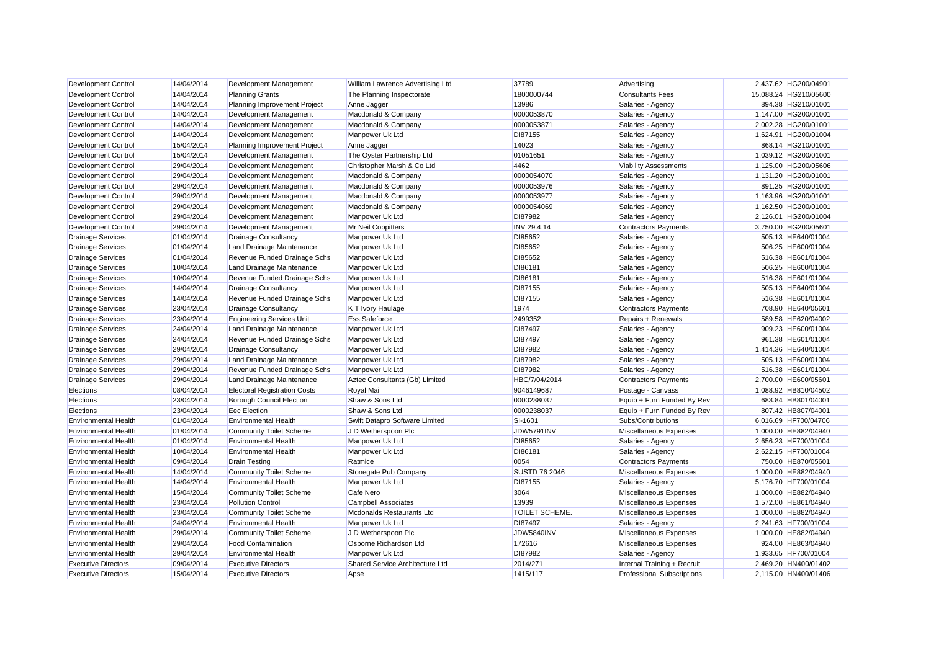| Development Control         | 14/04/2014 | Development Management              | William Lawrence Advertising Ltd | 37789                | Advertising                       | 2,437.62 HG200/04901  |
|-----------------------------|------------|-------------------------------------|----------------------------------|----------------------|-----------------------------------|-----------------------|
| <b>Development Control</b>  | 14/04/2014 | <b>Planning Grants</b>              | The Planning Inspectorate        | 1800000744           | <b>Consultants Fees</b>           | 15,088.24 HG210/05600 |
| <b>Development Control</b>  | 14/04/2014 | Planning Improvement Project        | Anne Jagger                      | 13986                | Salaries - Agency                 | 894.38 HG210/01001    |
| <b>Development Control</b>  | 14/04/2014 | Development Management              | Macdonald & Company              | 0000053870           | Salaries - Agency                 | 1,147.00 HG200/01001  |
| <b>Development Control</b>  | 14/04/2014 | Development Management              | Macdonald & Company              | 0000053871           | Salaries - Agency                 | 2,002.28 HG200/01001  |
| <b>Development Control</b>  | 14/04/2014 | Development Management              | Manpower Uk Ltd                  | DI87155              | Salaries - Agency                 | 1,624.91 HG200/01004  |
| <b>Development Control</b>  | 15/04/2014 | Planning Improvement Project        | Anne Jagger                      | 14023                | Salaries - Agency                 | 868.14 HG210/01001    |
| Development Control         | 15/04/2014 | Development Management              | The Oyster Partnership Ltd       | 01051651             | Salaries - Agency                 | 1,039.12 HG200/01001  |
| <b>Development Control</b>  | 29/04/2014 | Development Management              | Christopher Marsh & Co Ltd       | 4462                 | <b>Viability Assessments</b>      | 1,125.00 HG200/05606  |
| <b>Development Control</b>  | 29/04/2014 | Development Management              | Macdonald & Company              | 0000054070           | Salaries - Agency                 | 1,131.20 HG200/01001  |
| <b>Development Control</b>  | 29/04/2014 | Development Management              | Macdonald & Company              | 0000053976           | Salaries - Agency                 | 891.25 HG200/01001    |
| Development Control         | 29/04/2014 | Development Management              | Macdonald & Company              | 0000053977           | Salaries - Agency                 | 1,163.96 HG200/01001  |
| <b>Development Control</b>  | 29/04/2014 | Development Management              | Macdonald & Company              | 0000054069           | Salaries - Agency                 | 1,162.50 HG200/01001  |
| <b>Development Control</b>  | 29/04/2014 | Development Management              | Manpower Uk Ltd                  | DI87982              | Salaries - Agency                 | 2.126.01 HG200/01004  |
| <b>Development Control</b>  | 29/04/2014 | Development Management              | Mr Neil Coppitters               | <b>INV 29.4.14</b>   | <b>Contractors Payments</b>       | 3.750.00 HG200/05601  |
| <b>Drainage Services</b>    | 01/04/2014 | <b>Drainage Consultancy</b>         | Manpower Uk Ltd                  | DI85652              | Salaries - Agency                 | 505.13 HE640/01004    |
| <b>Drainage Services</b>    | 01/04/2014 | Land Drainage Maintenance           | Manpower Uk Ltd                  | DI85652              | Salaries - Agency                 | 506.25 HE600/01004    |
| <b>Drainage Services</b>    | 01/04/2014 | Revenue Funded Drainage Schs        | Manpower Uk Ltd                  | DI85652              | Salaries - Agency                 | 516.38 HE601/01004    |
| <b>Drainage Services</b>    | 10/04/2014 | Land Drainage Maintenance           | Manpower Uk Ltd                  | DI86181              | Salaries - Agency                 | 506.25 HE600/01004    |
| <b>Drainage Services</b>    | 10/04/2014 | Revenue Funded Drainage Schs        | Manpower Uk Ltd                  | DI86181              | Salaries - Agency                 | 516.38 HE601/01004    |
| <b>Drainage Services</b>    | 14/04/2014 | Drainage Consultancy                | Manpower Uk Ltd                  | DI87155              | Salaries - Agency                 | 505.13 HE640/01004    |
| <b>Drainage Services</b>    | 14/04/2014 | Revenue Funded Drainage Schs        | Manpower Uk Ltd                  | DI87155              | Salaries - Agency                 | 516.38 HE601/01004    |
| <b>Drainage Services</b>    | 23/04/2014 | Drainage Consultancy                | K T Ivory Haulage                | 1974                 | <b>Contractors Payments</b>       | 708.90 HE640/05601    |
| <b>Drainage Services</b>    | 23/04/2014 | <b>Engineering Services Unit</b>    | <b>Ess Safeforce</b>             | 2499352              | Repairs + Renewals                | 589.58 HE620/04002    |
| <b>Drainage Services</b>    | 24/04/2014 | Land Drainage Maintenance           | Manpower Uk Ltd                  | DI87497              | Salaries - Agency                 | 909.23 HE600/01004    |
| <b>Drainage Services</b>    | 24/04/2014 | Revenue Funded Drainage Schs        | Manpower Uk Ltd                  | DI87497              | Salaries - Agency                 | 961.38 HE601/01004    |
| <b>Drainage Services</b>    | 29/04/2014 | <b>Drainage Consultancy</b>         | Manpower Uk Ltd                  | DI87982              | Salaries - Agency                 | 1,414.36 HE640/01004  |
| <b>Drainage Services</b>    | 29/04/2014 | Land Drainage Maintenance           | Manpower Uk Ltd                  | DI87982              | Salaries - Agency                 | 505.13 HE600/01004    |
| <b>Drainage Services</b>    | 29/04/2014 | Revenue Funded Drainage Schs        | Manpower Uk Ltd                  | DI87982              | Salaries - Agency                 | 516.38 HE601/01004    |
| <b>Drainage Services</b>    | 29/04/2014 | Land Drainage Maintenance           | Aztec Consultants (Gb) Limited   | HBC/7/04/2014        | <b>Contractors Payments</b>       | 2,700.00 HE600/05601  |
| Elections                   | 08/04/2014 | <b>Electoral Registration Costs</b> | <b>Royal Mail</b>                | 9046149687           | Postage - Canvass                 | 1,088.92 HB810/04502  |
| Elections                   | 23/04/2014 | <b>Borough Council Election</b>     | Shaw & Sons Ltd                  | 0000238037           | Equip + Furn Funded By Rev        | 683.84 HB801/04001    |
| Elections                   | 23/04/2014 | <b>Eec Election</b>                 | Shaw & Sons Ltd                  | 0000238037           | Equip + Furn Funded By Rev        | 807.42 HB807/04001    |
| <b>Environmental Health</b> | 01/04/2014 | <b>Environmental Health</b>         | Swift Datapro Software Limited   | SI-1601              | Subs/Contributions                | 6.016.69 HF700/04706  |
| <b>Environmental Health</b> | 01/04/2014 | <b>Community Toilet Scheme</b>      | J D Wetherspoon Plc              | JDW5791INV           | Miscellaneous Expenses            | 1,000.00 HE882/04940  |
| <b>Environmental Health</b> | 01/04/2014 | <b>Environmental Health</b>         | Manpower Uk Ltd                  | DI85652              | Salaries - Agency                 | 2,656.23 HF700/01004  |
| <b>Environmental Health</b> | 10/04/2014 | <b>Environmental Health</b>         | Manpower Uk Ltd                  | DI86181              | Salaries - Agency                 | 2,622.15 HF700/01004  |
| <b>Environmental Health</b> | 09/04/2014 | <b>Drain Testing</b>                | Ratmice                          | 0054                 | <b>Contractors Payments</b>       | 750.00 HE870/05601    |
| <b>Environmental Health</b> | 14/04/2014 | <b>Community Toilet Scheme</b>      | Stonegate Pub Company            | <b>SUSTD 76 2046</b> | Miscellaneous Expenses            | 1,000.00 HE882/04940  |
| <b>Environmental Health</b> | 14/04/2014 | <b>Environmental Health</b>         | Manpower Uk Ltd                  | DI87155              | Salaries - Agency                 | 5,176.70 HF700/01004  |
| <b>Environmental Health</b> | 15/04/2014 | <b>Community Toilet Scheme</b>      | Cafe Nero                        | 3064                 | Miscellaneous Expenses            | 1,000.00 HE882/04940  |
| <b>Environmental Health</b> | 23/04/2014 | <b>Pollution Control</b>            | Campbell Associates              | 13939                | Miscellaneous Expenses            | 1,572.00 HE861/04940  |
| <b>Environmental Health</b> | 23/04/2014 | <b>Community Toilet Scheme</b>      | Mcdonalds Restaurants Ltd        | TOILET SCHEME.       | Miscellaneous Expenses            | 1,000.00 HE882/04940  |
| <b>Environmental Health</b> | 24/04/2014 | <b>Environmental Health</b>         | Manpower Uk Ltd                  | DI87497              | Salaries - Agency                 | 2,241.63 HF700/01004  |
| <b>Environmental Health</b> | 29/04/2014 | <b>Community Toilet Scheme</b>      | J D Wetherspoon Plc              | JDW5840INV           | Miscellaneous Expenses            | 1.000.00 HE882/04940  |
| <b>Environmental Health</b> | 29/04/2014 | <b>Food Contamination</b>           | Osborne Richardson Ltd           | 172616               | Miscellaneous Expenses            | 924.00 HE863/04940    |
| <b>Environmental Health</b> | 29/04/2014 | <b>Environmental Health</b>         | Manpower Uk Ltd                  | DI87982              | Salaries - Agency                 | 1,933.65 HF700/01004  |
| <b>Executive Directors</b>  | 09/04/2014 | <b>Executive Directors</b>          | Shared Service Architecture Ltd  | 2014/271             | Internal Training + Recruit       | 2.469.20 HN400/01402  |
| <b>Executive Directors</b>  | 15/04/2014 | <b>Executive Directors</b>          | Apse                             | 1415/117             | <b>Professional Subscriptions</b> | 2.115.00 HN400/01406  |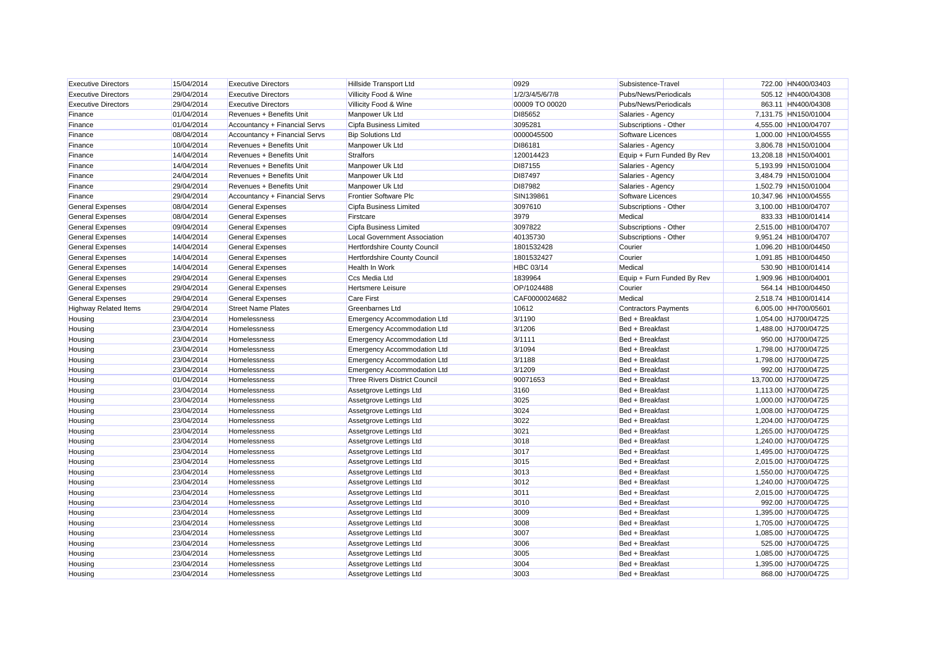| <b>Executive Directors</b>   | 15/04/2014 | <b>Executive Directors</b>    | <b>Hillside Transport Ltd</b>        | 0929             | Subsistence-Travel          | 722.00 HN400/03403    |
|------------------------------|------------|-------------------------------|--------------------------------------|------------------|-----------------------------|-----------------------|
| <b>Executive Directors</b>   | 29/04/2014 | <b>Executive Directors</b>    | Villicity Food & Wine                | 1/2/3/4/5/6/7/8  | Pubs/News/Periodicals       | 505.12 HN400/04308    |
| <b>Executive Directors</b>   | 29/04/2014 | <b>Executive Directors</b>    | Villicity Food & Wine                | 00009 TO 00020   | Pubs/News/Periodicals       | 863.11 HN400/04308    |
| Finance                      | 01/04/2014 | Revenues + Benefits Unit      | Manpower Uk Ltd                      | DI85652          | Salaries - Agency           | 7,131.75 HN150/01004  |
| Finance                      | 01/04/2014 | Accountancy + Financial Servs | Cipfa Business Limited               | 3095281          | Subscriptions - Other       | 4,555.00 HN100/04707  |
| Finance                      | 08/04/2014 | Accountancy + Financial Servs | <b>Bip Solutions Ltd</b>             | 0000045500       | Software Licences           | 1,000.00 HN100/04555  |
| Finance                      | 10/04/2014 | Revenues + Benefits Unit      | Manpower Uk Ltd                      | DI86181          | Salaries - Agency           | 3,806.78 HN150/01004  |
| Finance                      | 14/04/2014 | Revenues + Benefits Unit      | <b>Stralfors</b>                     | 120014423        | Equip + Furn Funded By Rev  | 13,208.18 HN150/04001 |
| Finance                      | 14/04/2014 | Revenues + Benefits Unit      | Manpower Uk Ltd                      | DI87155          | Salaries - Agency           | 5,193.99 HN150/01004  |
| Finance                      | 24/04/2014 | Revenues + Benefits Unit      | Manpower Uk Ltd                      | DI87497          | Salaries - Agency           | 3,484.79 HN150/01004  |
| Finance                      | 29/04/2014 | Revenues + Benefits Unit      | Manpower Uk Ltd                      | DI87982          | Salaries - Agency           | 1,502.79 HN150/01004  |
| Finance                      | 29/04/2014 | Accountancy + Financial Servs | <b>Frontier Software Plc</b>         | SIN139861        | Software Licences           | 10,347.96 HN100/04555 |
| <b>General Expenses</b>      | 08/04/2014 | <b>General Expenses</b>       | Cipfa Business Limited               | 3097610          | Subscriptions - Other       | 3,100.00 HB100/04707  |
| <b>General Expenses</b>      | 08/04/2014 | <b>General Expenses</b>       | Firstcare                            | 3979             | Medical                     | 833.33 HB100/01414    |
| <b>General Expenses</b>      | 09/04/2014 | <b>General Expenses</b>       | Cipfa Business Limited               | 3097822          | Subscriptions - Other       | 2,515.00 HB100/04707  |
| <b>General Expenses</b>      | 14/04/2014 | <b>General Expenses</b>       | <b>Local Government Association</b>  | 40135730         | Subscriptions - Other       | 9,951.24 HB100/04707  |
| <b>General Expenses</b>      | 14/04/2014 | <b>General Expenses</b>       | Hertfordshire County Council         | 1801532428       | Courier                     | 1,096.20 HB100/04450  |
| <b>General Expenses</b>      | 14/04/2014 | <b>General Expenses</b>       | Hertfordshire County Council         | 1801532427       | Courier                     | 1,091.85 HB100/04450  |
| <b>General Expenses</b>      | 14/04/2014 | <b>General Expenses</b>       | Health In Work                       | <b>HBC 03/14</b> | Medical                     | 530.90 HB100/01414    |
| <b>General Expenses</b>      | 29/04/2014 | <b>General Expenses</b>       | Ccs Media Ltd                        | 1839964          | Equip + Furn Funded By Rev  | 1,909.96 HB100/04001  |
| <b>General Expenses</b>      | 29/04/2014 | <b>General Expenses</b>       | <b>Hertsmere Leisure</b>             | OP/1024488       | Courier                     | 564.14 HB100/04450    |
| <b>General Expenses</b>      | 29/04/2014 | <b>General Expenses</b>       | <b>Care First</b>                    | CAF0000024682    | Medical                     | 2,518.74 HB100/01414  |
| <b>Highway Related Items</b> | 29/04/2014 | <b>Street Name Plates</b>     | <b>Greenbarnes Ltd</b>               | 10612            | <b>Contractors Payments</b> | 6,005.00 HH700/05601  |
| Housing                      | 23/04/2014 | Homelessness                  | <b>Emergency Accommodation Ltd</b>   | 3/1190           | Bed + Breakfast             | 1,054.00 HJ700/04725  |
| Housing                      | 23/04/2014 | Homelessness                  | <b>Emergency Accommodation Ltd</b>   | 3/1206           | Bed + Breakfast             | 1,488.00 HJ700/04725  |
| Housing                      | 23/04/2014 | Homelessness                  | <b>Emergency Accommodation Ltd</b>   | 3/1111           | Bed + Breakfast             | 950.00 HJ700/04725    |
| Housing                      | 23/04/2014 | Homelessness                  | <b>Emergency Accommodation Ltd</b>   | 3/1094           | Bed + Breakfast             | 1,798.00 HJ700/04725  |
| Housing                      | 23/04/2014 | Homelessness                  | <b>Emergency Accommodation Ltd</b>   | 3/1188           | Bed + Breakfast             | 1,798.00 HJ700/04725  |
| Housing                      | 23/04/2014 | Homelessness                  | <b>Emergency Accommodation Ltd</b>   | 3/1209           | Bed + Breakfast             | 992.00 HJ700/04725    |
| Housing                      | 01/04/2014 | Homelessness                  | <b>Three Rivers District Council</b> | 90071653         | Bed + Breakfast             | 13,700.00 HJ700/04725 |
| Housing                      | 23/04/2014 | Homelessness                  | Assetgrove Lettings Ltd              | 3160             | Bed + Breakfast             | 1,113.00 HJ700/04725  |
| Housing                      | 23/04/2014 | Homelessness                  | Assetgrove Lettings Ltd              | 3025             | Bed + Breakfast             | 1,000.00 HJ700/04725  |
| Housing                      | 23/04/2014 | Homelessness                  | Assetgrove Lettings Ltd              | 3024             | Bed + Breakfast             | 1,008.00 HJ700/04725  |
| Housing                      | 23/04/2014 | Homelessness                  | Assetgrove Lettings Ltd              | 3022             | Bed + Breakfast             | 1,204.00 HJ700/04725  |
| Housing                      | 23/04/2014 | Homelessness                  | Assetgrove Lettings Ltd              | 3021             | Bed + Breakfast             | 1,265.00 HJ700/04725  |
| Housing                      | 23/04/2014 | Homelessness                  | Assetgrove Lettings Ltd              | 3018             | Bed + Breakfast             | 1,240.00 HJ700/04725  |
| Housing                      | 23/04/2014 | Homelessness                  | Assetgrove Lettings Ltd              | 3017             | Bed + Breakfast             | 1,495.00 HJ700/04725  |
| Housing                      | 23/04/2014 | Homelessness                  | Assetgrove Lettings Ltd              | 3015             | Bed + Breakfast             | 2,015.00 HJ700/04725  |
| Housing                      | 23/04/2014 | Homelessness                  | Assetgrove Lettings Ltd              | 3013             | Bed + Breakfast             | 1,550.00 HJ700/04725  |
| Housing                      | 23/04/2014 | Homelessness                  | Assetgrove Lettings Ltd              | 3012             | Bed + Breakfast             | 1,240.00 HJ700/04725  |
| Housing                      | 23/04/2014 | Homelessness                  | Assetgrove Lettings Ltd              | 3011             | Bed + Breakfast             | 2,015.00 HJ700/04725  |
| Housing                      | 23/04/2014 | Homelessness                  | Assetgrove Lettings Ltd              | 3010             | Bed + Breakfast             | 992.00 HJ700/04725    |
| Housing                      | 23/04/2014 | Homelessness                  | Assetgrove Lettings Ltd              | 3009             | Bed + Breakfast             | 1,395.00 HJ700/04725  |
| Housing                      | 23/04/2014 | Homelessness                  | Assetgrove Lettings Ltd              | 3008             | Bed + Breakfast             | 1,705.00 HJ700/04725  |
| Housing                      | 23/04/2014 | Homelessness                  | Assetgrove Lettings Ltd              | 3007             | Bed + Breakfast             | 1,085.00 HJ700/04725  |
| Housing                      | 23/04/2014 | Homelessness                  | Assetgrove Lettings Ltd              | 3006             | Bed + Breakfast             | 525.00 HJ700/04725    |
| Housing                      | 23/04/2014 | Homelessness                  | Assetgrove Lettings Ltd              | 3005             | Bed + Breakfast             | 1,085.00 HJ700/04725  |
| Housing                      | 23/04/2014 | Homelessness                  | Assetgrove Lettings Ltd              | 3004             | Bed + Breakfast             | 1,395.00 HJ700/04725  |
| Housing                      | 23/04/2014 | Homelessness                  | Assetgrove Lettings Ltd              | 3003             | Bed + Breakfast             | 868.00 HJ700/04725    |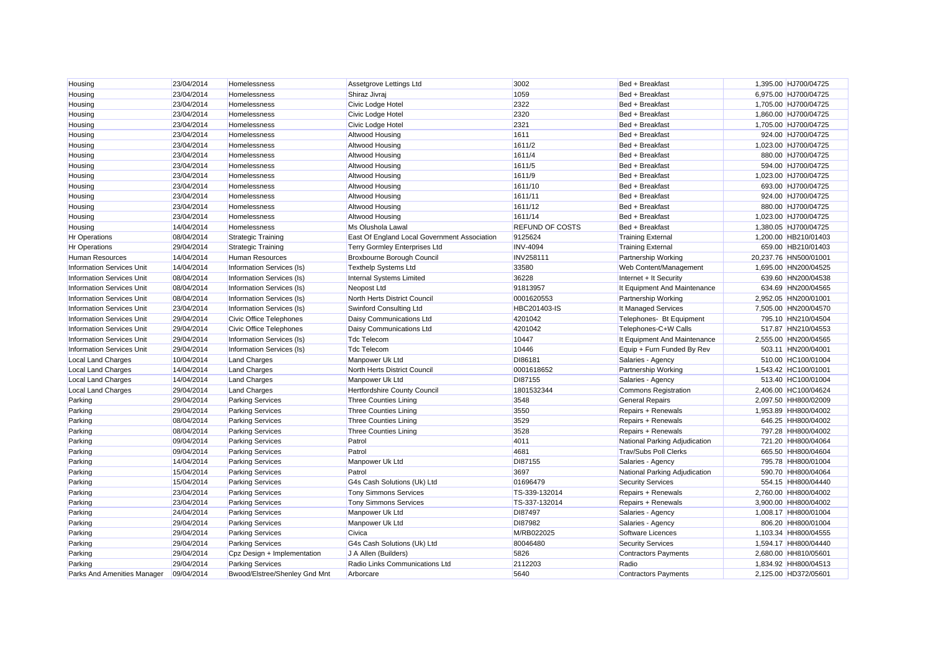| Housing                          | 23/04/2014 | Homelessness                  | Assetgrove Lettings Ltd                      | 3002                   | Bed + Breakfast               | 1,395.00 HJ700/04725  |
|----------------------------------|------------|-------------------------------|----------------------------------------------|------------------------|-------------------------------|-----------------------|
| Housing                          | 23/04/2014 | Homelessness                  | Shiraz Jivraj                                | 1059                   | Bed + Breakfast               | 6,975.00 HJ700/04725  |
| Housing                          | 23/04/2014 | Homelessness                  | Civic Lodge Hotel                            | 2322                   | Bed + Breakfast               | 1,705.00 HJ700/04725  |
| Housing                          | 23/04/2014 | Homelessness                  | Civic Lodge Hotel                            | 2320                   | Bed + Breakfast               | 1,860.00 HJ700/04725  |
| Housing                          | 23/04/2014 | Homelessness                  | Civic Lodge Hotel                            | 2321                   | Bed + Breakfast               | 1,705.00 HJ700/04725  |
| Housing                          | 23/04/2014 | Homelessness                  | Altwood Housing                              | 1611                   | Bed + Breakfast               | 924.00 HJ700/04725    |
| Housing                          | 23/04/2014 | Homelessness                  | Altwood Housing                              | 1611/2                 | Bed + Breakfast               | 1,023.00 HJ700/04725  |
| Housing                          | 23/04/2014 | Homelessness                  | Altwood Housing                              | 1611/4                 | Bed + Breakfast               | 880.00 HJ700/04725    |
| Housing                          | 23/04/2014 | Homelessness                  | Altwood Housing                              | 1611/5                 | Bed + Breakfast               | 594.00 HJ700/04725    |
| Housing                          | 23/04/2014 | Homelessness                  | Altwood Housing                              | 1611/9                 | Bed + Breakfast               | 1,023.00 HJ700/04725  |
| Housing                          | 23/04/2014 | Homelessness                  | Altwood Housing                              | 1611/10                | Bed + Breakfast               | 693.00 HJ700/04725    |
| Housing                          | 23/04/2014 | Homelessness                  | Altwood Housing                              | 1611/11                | Bed + Breakfast               | 924.00 HJ700/04725    |
| Housing                          | 23/04/2014 | Homelessness                  | Altwood Housing                              | 1611/12                | Bed + Breakfast               | 880.00 HJ700/04725    |
| Housing                          | 23/04/2014 | Homelessness                  | Altwood Housing                              | 1611/14                | Bed + Breakfast               | 1,023.00 HJ700/04725  |
| Housing                          | 14/04/2014 | Homelessness                  | Ms Olushola Lawal                            | <b>REFUND OF COSTS</b> | Bed + Breakfast               | 1,380.05 HJ700/04725  |
| Hr Operations                    | 08/04/2014 | <b>Strategic Training</b>     | East Of England Local Government Association | 9125624                | <b>Training External</b>      | 1,200.00 HB210/01403  |
| <b>Hr Operations</b>             | 29/04/2014 | <b>Strategic Training</b>     | <b>Terry Gormley Enterprises Ltd</b>         | <b>INV-4094</b>        | <b>Training External</b>      | 659.00 HB210/01403    |
| <b>Human Resources</b>           | 14/04/2014 | Human Resources               | Broxbourne Borough Council                   | <b>INV258111</b>       | <b>Partnership Working</b>    | 20,237.76 HN500/01001 |
| <b>Information Services Unit</b> | 14/04/2014 | Information Services (Is)     | <b>Texthelp Systems Ltd</b>                  | 33580                  | Web Content/Management        | 1,695.00 HN200/04525  |
| <b>Information Services Unit</b> | 08/04/2014 | Information Services (Is)     | Internal Systems Limited                     | 36228                  | Internet + It Security        | 639.60 HN200/04538    |
| <b>Information Services Unit</b> | 08/04/2014 | Information Services (Is)     | Neopost Ltd                                  | 91813957               | It Equipment And Maintenance  | 634.69 HN200/04565    |
| <b>Information Services Unit</b> | 08/04/2014 | Information Services (Is)     | North Herts District Council                 | 0001620553             | Partnership Working           | 2,952.05 HN200/01001  |
| <b>Information Services Unit</b> | 23/04/2014 | Information Services (Is)     | Swinford Consulting Ltd                      | HBC201403-IS           | It Managed Services           | 7,505.00 HN200/04570  |
| <b>Information Services Unit</b> | 29/04/2014 | Civic Office Telephones       | Daisy Communications Ltd                     | 4201042                | Telephones- Bt Equipment      | 795.10 HN210/04504    |
| <b>Information Services Unit</b> | 29/04/2014 | Civic Office Telephones       | Daisy Communications Ltd                     | 4201042                | Telephones-C+W Calls          | 517.87 HN210/04553    |
| <b>Information Services Unit</b> | 29/04/2014 | Information Services (Is)     | <b>Tdc Telecom</b>                           | 10447                  | It Equipment And Maintenance  | 2,555.00 HN200/04565  |
| <b>Information Services Unit</b> | 29/04/2014 | Information Services (Is)     | <b>Tdc Telecom</b>                           | 10446                  | Equip + Furn Funded By Rev    | 503.11 HN200/04001    |
| <b>Local Land Charges</b>        | 10/04/2014 | <b>Land Charges</b>           | Manpower Uk Ltd                              | DI86181                | Salaries - Agency             | 510.00 HC100/01004    |
| <b>Local Land Charges</b>        | 14/04/2014 | <b>Land Charges</b>           | North Herts District Council                 | 0001618652             | Partnership Working           | 1,543.42 HC100/01001  |
| <b>Local Land Charges</b>        | 14/04/2014 | <b>Land Charges</b>           | Manpower Uk Ltd                              | DI87155                | Salaries - Agency             | 513.40 HC100/01004    |
| <b>Local Land Charges</b>        | 29/04/2014 | <b>Land Charges</b>           | Hertfordshire County Council                 | 1801532344             | <b>Commons Registration</b>   | 2,406.00 HC100/04624  |
| Parking                          | 29/04/2014 | <b>Parking Services</b>       | <b>Three Counties Lining</b>                 | 3548                   | <b>General Repairs</b>        | 2,097.50 HH800/02009  |
| Parking                          | 29/04/2014 | <b>Parking Services</b>       | <b>Three Counties Lining</b>                 | 3550                   | Repairs + Renewals            | 1,953.89 HH800/04002  |
| Parking                          | 08/04/2014 | <b>Parking Services</b>       | <b>Three Counties Lining</b>                 | 3529                   | Repairs + Renewals            | 646.25 HH800/04002    |
| Parking                          | 08/04/2014 | <b>Parking Services</b>       | Three Counties Lining                        | 3528                   | Repairs + Renewals            | 797.28 HH800/04002    |
| Parking                          | 09/04/2014 | <b>Parking Services</b>       | Patrol                                       | 4011                   | National Parking Adjudication | 721.20 HH800/04064    |
| Parking                          | 09/04/2014 | <b>Parking Services</b>       | Patrol                                       | 4681                   | <b>Trav/Subs Poll Clerks</b>  | 665.50 HH800/04604    |
| Parking                          | 14/04/2014 | <b>Parking Services</b>       | Manpower Uk Ltd                              | DI87155                | Salaries - Agency             | 795.78 HH800/01004    |
| Parking                          | 15/04/2014 | <b>Parking Services</b>       | Patrol                                       | 3697                   | National Parking Adjudication | 590.70 HH800/04064    |
| Parking                          | 15/04/2014 | <b>Parking Services</b>       | G4s Cash Solutions (Uk) Ltd                  | 01696479               | <b>Security Services</b>      | 554.15 HH800/04440    |
| Parking                          | 23/04/2014 | <b>Parking Services</b>       | <b>Tony Simmons Services</b>                 | TS-339-132014          | Repairs + Renewals            | 2,760.00 HH800/04002  |
| Parking                          | 23/04/2014 | <b>Parking Services</b>       | <b>Tony Simmons Services</b>                 | TS-337-132014          | Repairs + Renewals            | 3,900.00 HH800/04002  |
| Parking                          | 24/04/2014 | <b>Parking Services</b>       | Manpower Uk Ltd                              | DI87497                | Salaries - Agency             | 1,008.17 HH800/01004  |
| Parking                          | 29/04/2014 | <b>Parking Services</b>       | Manpower Uk Ltd                              | DI87982                | Salaries - Agency             | 806.20 HH800/01004    |
| Parking                          | 29/04/2014 | <b>Parking Services</b>       | Civica                                       | M/RB022025             | Software Licences             | 1,103.34 HH800/04555  |
| Parking                          | 29/04/2014 | <b>Parking Services</b>       | G4s Cash Solutions (Uk) Ltd                  | 80046480               | <b>Security Services</b>      | 1,594.17 HH800/04440  |
| Parking                          | 29/04/2014 | Cpz Design + Implementation   | J A Allen (Builders)                         | 5826                   | <b>Contractors Payments</b>   | 2,680.00 HH810/05601  |
| Parking                          | 29/04/2014 | <b>Parking Services</b>       | Radio Links Communications Ltd               | 2112203                | Radio                         | 1,834.92 HH800/04513  |
| Parks And Amenities Manager      | 09/04/2014 | Bwood/Elstree/Shenley Gnd Mnt | Arborcare                                    | 5640                   | <b>Contractors Payments</b>   | 2,125.00 HD372/05601  |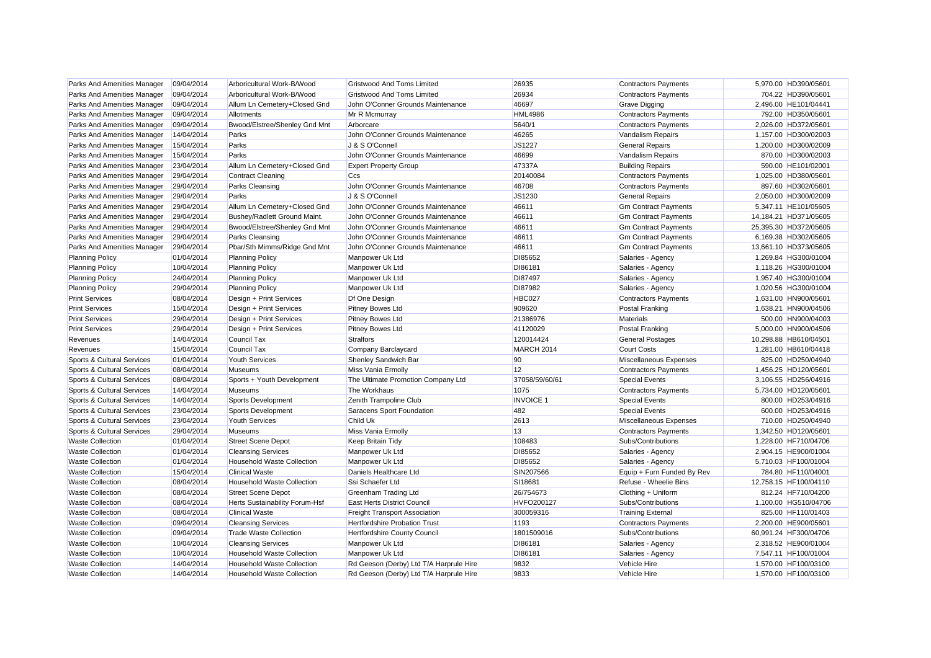| Parks And Amenities Manager | 09/04/2014 | Arboricultural Work-B/Wood            | <b>Gristwood And Toms Limited</b>       | 26935             | <b>Contractors Payments</b> | 5,970.00 HD390/05601  |
|-----------------------------|------------|---------------------------------------|-----------------------------------------|-------------------|-----------------------------|-----------------------|
| Parks And Amenities Manager | 09/04/2014 | Arboricultural Work-B/Wood            | <b>Gristwood And Toms Limited</b>       | 26934             | <b>Contractors Payments</b> | 704.22 HD390/05601    |
| Parks And Amenities Manager | 09/04/2014 | Allum Ln Cemetery+Closed Gnd          | John O'Conner Grounds Maintenance       | 46697             | Grave Digging               | 2,496.00 HE101/04441  |
| Parks And Amenities Manager | 09/04/2014 | Allotments                            | Mr R Mcmurray                           | <b>HML4986</b>    | <b>Contractors Payments</b> | 792.00 HD350/05601    |
| Parks And Amenities Manager | 09/04/2014 | Bwood/Elstree/Shenley Gnd Mnt         | Arborcare                               | 5640/1            | <b>Contractors Payments</b> | 2,026.00 HD372/05601  |
| Parks And Amenities Manager | 14/04/2014 | Parks                                 | John O'Conner Grounds Maintenance       | 46265             | Vandalism Repairs           | 1,157.00 HD300/02003  |
| Parks And Amenities Manager | 15/04/2014 | Parks                                 | J & S O'Connell                         | <b>JS1227</b>     | <b>General Repairs</b>      | 1,200.00 HD300/02009  |
| Parks And Amenities Manager | 15/04/2014 | Parks                                 | John O'Conner Grounds Maintenance       | 46699             | Vandalism Repairs           | 870.00 HD300/02003    |
| Parks And Amenities Manager | 23/04/2014 | Allum Ln Cemetery+Closed Gnd          | <b>Expert Property Group</b>            | 47337A            | <b>Building Repairs</b>     | 590.00 HE101/02001    |
| Parks And Amenities Manager | 29/04/2014 | <b>Contract Cleaning</b>              | Ccs                                     | 20140084          | <b>Contractors Payments</b> | 1,025.00 HD380/05601  |
| Parks And Amenities Manager | 29/04/2014 | Parks Cleansing                       | John O'Conner Grounds Maintenance       | 46708             | <b>Contractors Payments</b> | 897.60 HD302/05601    |
| Parks And Amenities Manager | 29/04/2014 | Parks                                 | J & S O'Connell                         | JS1230            | <b>General Repairs</b>      | 2,050.00 HD300/02009  |
| Parks And Amenities Manager | 29/04/2014 | Allum Ln Cemetery+Closed Gnd          | John O'Conner Grounds Maintenance       | 46611             | <b>Gm Contract Payments</b> | 5,347.11 HE101/05605  |
| Parks And Amenities Manager | 29/04/2014 | Bushey/Radlett Ground Maint.          | John O'Conner Grounds Maintenance       | 46611             | <b>Gm Contract Payments</b> | 14,184.21 HD371/05605 |
| Parks And Amenities Manager | 29/04/2014 | Bwood/Elstree/Shenley Gnd Mnt         | John O'Conner Grounds Maintenance       | 46611             | <b>Gm Contract Payments</b> | 25,395.30 HD372/05605 |
| Parks And Amenities Manager | 29/04/2014 | <b>Parks Cleansing</b>                | John O'Conner Grounds Maintenance       | 46611             | <b>Gm Contract Payments</b> | 6,169.38 HD302/05605  |
| Parks And Amenities Manager | 29/04/2014 | Pbar/Sth Mimms/Ridge Gnd Mnt          | John O'Conner Grounds Maintenance       | 46611             | <b>Gm Contract Payments</b> | 13,661.10 HD373/05605 |
| <b>Planning Policy</b>      | 01/04/2014 | <b>Planning Policy</b>                | Manpower Uk Ltd                         | DI85652           | Salaries - Agency           | 1,269.84 HG300/01004  |
| <b>Planning Policy</b>      | 10/04/2014 | <b>Planning Policy</b>                | Manpower Uk Ltd                         | DI86181           | Salaries - Agency           | 1,118.26 HG300/01004  |
| <b>Planning Policy</b>      | 24/04/2014 | <b>Planning Policy</b>                | Manpower Uk Ltd                         | DI87497           | Salaries - Agency           | 1,957.40 HG300/01004  |
| <b>Planning Policy</b>      | 29/04/2014 | <b>Planning Policy</b>                | Manpower Uk Ltd                         | DI87982           | Salaries - Agency           | 1,020.56 HG300/01004  |
| <b>Print Services</b>       | 08/04/2014 | Design + Print Services               | Df One Design                           | HBC027            | <b>Contractors Payments</b> | 1,631.00 HN900/05601  |
| <b>Print Services</b>       | 15/04/2014 | Design + Print Services               | Pitney Bowes Ltd                        | 909620            | Postal Franking             | 1,638.21 HN900/04506  |
| <b>Print Services</b>       | 29/04/2014 | Design + Print Services               | <b>Pitney Bowes Ltd</b>                 | 21386976          | Materials                   | 500.00 HN900/04003    |
| <b>Print Services</b>       | 29/04/2014 | Design + Print Services               | <b>Pitney Bowes Ltd</b>                 | 41120029          | Postal Franking             | 5,000.00 HN900/04506  |
| Revenues                    | 14/04/2014 | Council Tax                           | <b>Stralfors</b>                        | 120014424         | <b>General Postages</b>     | 10,298.88 HB610/04501 |
| Revenues                    | 15/04/2014 | Council Tax                           | Company Barclaycard                     | MARCH 2014        | <b>Court Costs</b>          | 1,281.00 HB610/04418  |
| Sports & Cultural Services  | 01/04/2014 | <b>Youth Services</b>                 | Shenley Sandwich Bar                    | 90                | Miscellaneous Expenses      | 825.00 HD250/04940    |
| Sports & Cultural Services  | 08/04/2014 | <b>Museums</b>                        | Miss Vania Ermolly                      | 12                | <b>Contractors Payments</b> | 1,456.25 HD120/05601  |
| Sports & Cultural Services  | 08/04/2014 | Sports + Youth Development            | The Ultimate Promotion Company Ltd      | 37058/59/60/61    | <b>Special Events</b>       | 3,106.55 HD256/04916  |
| Sports & Cultural Services  | 14/04/2014 | <b>Museums</b>                        | The Workhaus                            | 1075              | <b>Contractors Payments</b> | 5,734.00 HD120/05601  |
| Sports & Cultural Services  | 14/04/2014 | Sports Development                    | Zenith Trampoline Club                  | <b>INVOICE 1</b>  | <b>Special Events</b>       | 800.00 HD253/04916    |
| Sports & Cultural Services  | 23/04/2014 | Sports Development                    | Saracens Sport Foundation               | 482               | <b>Special Events</b>       | 600.00 HD253/04916    |
| Sports & Cultural Services  | 23/04/2014 | <b>Youth Services</b>                 | Child Uk                                | 2613              | Miscellaneous Expenses      | 710.00 HD250/04940    |
| Sports & Cultural Services  | 29/04/2014 | <b>Museums</b>                        | Miss Vania Ermolly                      | 13                | <b>Contractors Payments</b> | 1,342.50 HD120/05601  |
| <b>Waste Collection</b>     | 01/04/2014 | <b>Street Scene Depot</b>             | <b>Keep Britain Tidy</b>                | 108483            | Subs/Contributions          | 1,228.00 HF710/04706  |
| <b>Waste Collection</b>     | 01/04/2014 | <b>Cleansing Services</b>             | Manpower Uk Ltd                         | DI85652           | Salaries - Agency           | 2,904.15 HE900/01004  |
| <b>Waste Collection</b>     | 01/04/2014 | <b>Household Waste Collection</b>     | Manpower Uk Ltd                         | DI85652           | Salaries - Agency           | 5,710.03 HF100/01004  |
| <b>Waste Collection</b>     | 15/04/2014 | <b>Clinical Waste</b>                 | Daniels Healthcare Ltd                  | SIN207566         | Equip + Furn Funded By Rev  | 784.80 HF110/04001    |
| <b>Waste Collection</b>     | 08/04/2014 | <b>Household Waste Collection</b>     | Ssi Schaefer Ltd                        | SI18681           | Refuse - Wheelie Bins       | 12,758.15 HF100/04110 |
| <b>Waste Collection</b>     | 08/04/2014 | <b>Street Scene Depot</b>             | Greenham Trading Ltd                    | 26/754673         | Clothing + Uniform          | 812.24 HF710/04200    |
| <b>Waste Collection</b>     | 08/04/2014 | <b>Herts Sustainability Forum-Hsf</b> | East Herts District Council             | <b>HVFO200127</b> | Subs/Contributions          | 1,100.00 HG510/04706  |
| <b>Waste Collection</b>     | 08/04/2014 | <b>Clinical Waste</b>                 | <b>Freight Transport Association</b>    | 300059316         | <b>Training External</b>    | 825.00 HF110/01403    |
| <b>Waste Collection</b>     | 09/04/2014 | <b>Cleansing Services</b>             | <b>Hertfordshire Probation Trust</b>    | 1193              | <b>Contractors Payments</b> | 2,200.00 HE900/05601  |
| <b>Waste Collection</b>     | 09/04/2014 | <b>Trade Waste Collection</b>         | <b>Hertfordshire County Council</b>     | 1801509016        | Subs/Contributions          | 60,991.24 HF300/04706 |
| <b>Waste Collection</b>     | 10/04/2014 | <b>Cleansing Services</b>             | Manpower Uk Ltd                         | DI86181           | Salaries - Agency           | 2,318.52 HE900/01004  |
| <b>Waste Collection</b>     | 10/04/2014 | <b>Household Waste Collection</b>     | Manpower Uk Ltd                         | DI86181           | Salaries - Agency           | 7,547.11 HF100/01004  |
| <b>Waste Collection</b>     | 14/04/2014 | <b>Household Waste Collection</b>     | Rd Geeson (Derby) Ltd T/A Harprule Hire | 9832              | <b>Vehicle Hire</b>         | 1,570.00 HF100/03100  |
| <b>Waste Collection</b>     | 14/04/2014 | <b>Household Waste Collection</b>     | Rd Geeson (Derby) Ltd T/A Harprule Hire | 9833              | Vehicle Hire                | 1.570.00 HF100/03100  |
|                             |            |                                       |                                         |                   |                             |                       |